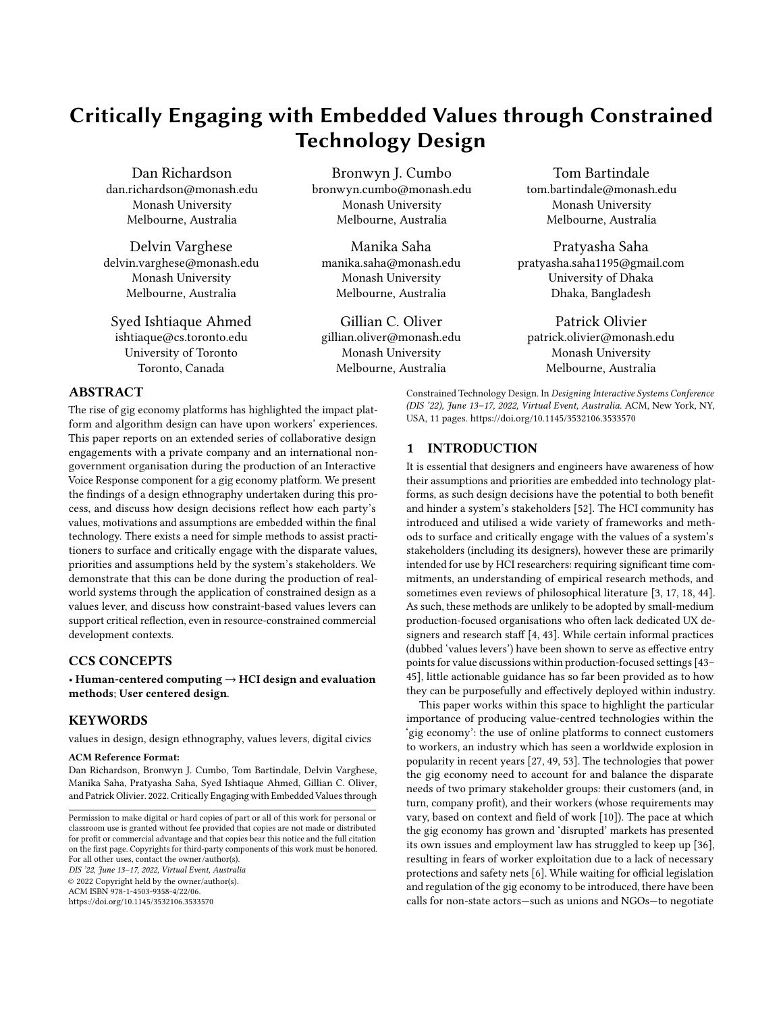# Critically Engaging with Embedded Values through Constrained Technology Design

Dan Richardson dan.richardson@monash.edu Monash University Melbourne, Australia

Delvin Varghese delvin.varghese@monash.edu Monash University Melbourne, Australia

Syed Ishtiaque Ahmed ishtiaque@cs.toronto.edu University of Toronto Toronto, Canada

Bronwyn J. Cumbo bronwyn.cumbo@monash.edu Monash University Melbourne, Australia

Manika Saha manika.saha@monash.edu Monash University Melbourne, Australia

Gillian C. Oliver gillian.oliver@monash.edu Monash University Melbourne, Australia

Tom Bartindale tom.bartindale@monash.edu Monash University Melbourne, Australia

Pratyasha Saha pratyasha.saha1195@gmail.com University of Dhaka Dhaka, Bangladesh

Patrick Olivier patrick.olivier@monash.edu Monash University Melbourne, Australia

## ABSTRACT

The rise of gig economy platforms has highlighted the impact platform and algorithm design can have upon workers' experiences. This paper reports on an extended series of collaborative design engagements with a private company and an international nongovernment organisation during the production of an Interactive Voice Response component for a gig economy platform. We present the findings of a design ethnography undertaken during this process, and discuss how design decisions reflect how each party's values, motivations and assumptions are embedded within the final technology. There exists a need for simple methods to assist practitioners to surface and critically engage with the disparate values, priorities and assumptions held by the system's stakeholders. We demonstrate that this can be done during the production of realworld systems through the application of constrained design as a values lever, and discuss how constraint-based values levers can support critical reflection, even in resource-constrained commercial development contexts.

# CCS CONCEPTS

• Human-centered computing  $\rightarrow$  HCI design and evaluation methods; User centered design.

# **KEYWORDS**

values in design, design ethnography, values levers, digital civics

#### ACM Reference Format:

Dan Richardson, Bronwyn J. Cumbo, Tom Bartindale, Delvin Varghese, Manika Saha, Pratyasha Saha, Syed Ishtiaque Ahmed, Gillian C. Oliver, and Patrick Olivier. 2022. Critically Engaging with Embedded Values through

DIS '22, June 13–17, 2022, Virtual Event, Australia

© 2022 Copyright held by the owner/author(s).

ACM ISBN 978-1-4503-9358-4/22/06.

<https://doi.org/10.1145/3532106.3533570>

## 1 INTRODUCTION

It is essential that designers and engineers have awareness of how their assumptions and priorities are embedded into technology platforms, as such design decisions have the potential to both benefit and hinder a system's stakeholders [\[52\]](#page-10-1). The HCI community has introduced and utilised a wide variety of frameworks and methods to surface and critically engage with the values of a system's stakeholders (including its designers), however these are primarily intended for use by HCI researchers: requiring significant time commitments, an understanding of empirical research methods, and sometimes even reviews of philosophical literature [\[3,](#page-9-0) [17,](#page-10-2) [18,](#page-10-3) [44\]](#page-10-4). As such, these methods are unlikely to be adopted by small-medium production-focused organisations who often lack dedicated UX designers and research staff [\[4,](#page-9-1) [43\]](#page-10-5). While certain informal practices (dubbed 'values levers') have been shown to serve as effective entry points for value discussions within production-focused settings [\[43–](#page-10-5) [45\]](#page-10-6), little actionable guidance has so far been provided as to how they can be purposefully and effectively deployed within industry.

Constrained Technology Design. In Designing Interactive Systems Conference (DIS '22), June 13–17, 2022, Virtual Event, Australia. ACM, New York, NY,

USA, [11](#page-10-0) pages.<https://doi.org/10.1145/3532106.3533570>

This paper works within this space to highlight the particular importance of producing value-centred technologies within the 'gig economy': the use of online platforms to connect customers to workers, an industry which has seen a worldwide explosion in popularity in recent years [\[27,](#page-10-7) [49,](#page-10-8) [53\]](#page-10-9). The technologies that power the gig economy need to account for and balance the disparate needs of two primary stakeholder groups: their customers (and, in turn, company profit), and their workers (whose requirements may vary, based on context and field of work [\[10\]](#page-9-2)). The pace at which the gig economy has grown and 'disrupted' markets has presented its own issues and employment law has struggled to keep up [\[36\]](#page-10-10), resulting in fears of worker exploitation due to a lack of necessary protections and safety nets [\[6\]](#page-9-3). While waiting for official legislation and regulation of the gig economy to be introduced, there have been calls for non-state actors—such as unions and NGOs—to negotiate

Permission to make digital or hard copies of part or all of this work for personal or classroom use is granted without fee provided that copies are not made or distributed for profit or commercial advantage and that copies bear this notice and the full citation on the first page. Copyrights for third-party components of this work must be honored. For all other uses, contact the owner/author(s).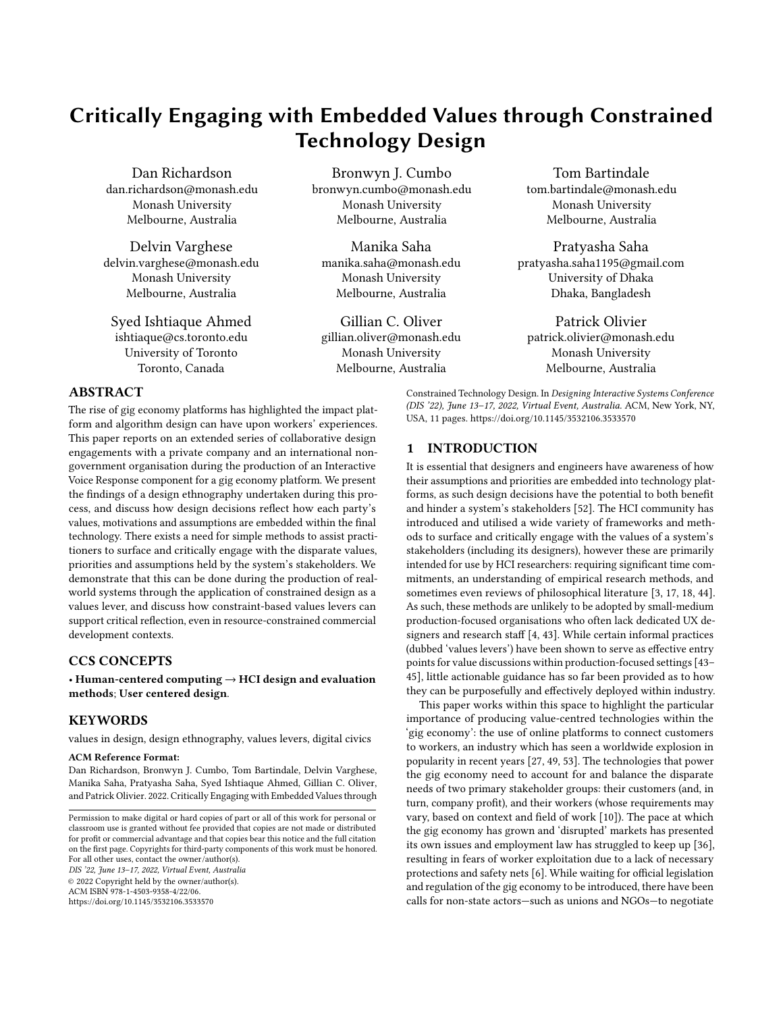formal agreements with gig economy companies, providing shortterm benefits to workers and highlighting current issues [\[36\]](#page-10-10).

This paper directly engages within this context, and presents findings from an extended series of collaborative design engagements with an international advocacy group (pseudonym: 'NGO') and a start-up company (' $GigCo$ '), which runs a gig economy platform for disadvantaged domestic workers in Dhaka, Bangladesh. The product of these engagements is an Interactive Voice Response (IVR) system, designed to connect the predominantly offline domestic workers to GigCo's digital infrastructure in order to distribute and manage jobs. Using this system as a lens, this paper contributes: (i) the findings of a design ethnography, documenting how the creators' values, motivations and assumptions are embedded within the system; (ii) a demonstration of how the constraints of a technology medium can act as a values lever for critical reflection; (iii) discussion for how constraint-based values levers can support critical reflection in resource-constrained commercial development contexts.

## 2 RELATED WORK

## 2.1 Surfacing Values in Technology Design

The critical analysis of stakeholders' human values to inform technology design and use has become an increasingly popular research subject within HCI [\[44\]](#page-10-4), with contexts spanning from social media [\[12\]](#page-9-4), to education [\[41\]](#page-10-11) and games [\[17\]](#page-10-2). Traditionally, algorithms, platforms and databases have been discussed as if they are ethically neutral, and as a result values-based inquiry has been left outside of the scope of developers' design practice [\[43\]](#page-10-5). As the designs of systems and infrastructures can have implicit or explicit political qualities embedded within them [\[52\]](#page-10-1), the ethnographic study of such infrastructures can provide insights into designers' decisionmaking processes [\[47\]](#page-10-12). One of the most influential frameworks for approaching value-conscious design is Value Sensitive Design (VSD): an adaptable, tripartite methodology that uses theoretical, empirical, and technical approaches in combination with a guiding list of suggested values to scaffold philosophical analyses of systems or design spaces [\[18\]](#page-10-3). VSD has been previously reconfigured to focus on empirical techniques, such as photo elicitation and defamiliarization, which can assist in the discovery of non-prescribed values [\[29\]](#page-10-13). Such probes have been used to aid in the discovery of stakeholders' goals, priorities, preferences and expectations [\[17,](#page-10-2) [50\]](#page-10-14), or to support explicit and implicit discussions of participant values [\[3\]](#page-9-0). Other approaches, such as socio-technical integration, utilise research methods such as semi-structured interviews with designers to promote ethical reflection upon design decisions [\[16\]](#page-9-5).

However, such values-oriented processes are not commonly deployed by small and medium-sized software development teams in commercial settings, given their reliance on specialist research techniques and a common perception of them being slow or unnecessary [\[43\]](#page-10-5). Within these environments, designers often act as advocates pushing for human-centred design, often espousing values in tension with their organization's own interests [\[11\]](#page-9-6). Shilton argues that having a 'values advocate' within an organisation can be a viable approach, but acknowledges arguments that having a single advocate risks the marginalization of other voices, and that the need for such roles can be difficult to justify to leadership

[\[8,](#page-9-7) [32,](#page-10-15) [44\]](#page-10-4). While such approaches are effective ways of critically engaging with stakeholders' values [\[12\]](#page-9-4), the required time investment and knowledge of literature and methodology (e.g. designing probes, conducting interviews) effectively requires the presence of a researcher—an unreasonable expectation of smaller companies, who are often unlikely to even have dedicated UX designers due to the typical prioritisation of functionality over form, usability, and even ethics [\[4,](#page-9-1) [43\]](#page-10-5).

Shilton recommends the use of 'values levers': informal practices that call attention to designed infrastructure, serving as effective entry points for value discussions during the process of technology development [\[43,](#page-10-5) [44\]](#page-10-4). Whereas VSD provides grounded reasoning through theoretical, empirical and technical investigations for values-based design decisions, values levers instead act as provocations: prompting moments of reflection and (sometimes emotional) reaction rather than evidence-based reasoning with scientific rigour. While resulting arguments for design rationale may not hold up to academic scrutiny, this is likely to be a non-issue for many within commercial contexts, and is arguably counter-balanced by values levers requiring significantly less work. Examples of such levers include: designers and engineers self-testing their creations and encountering discomfort at how their data is used [\[43\]](#page-10-5); designers explaining their decision-making across disciplinary barriers, requiring re-framing and re-examination of practices [\[44\]](#page-10-4); and online communities of mobile app developers reflecting upon why technical constraints are put in place by mobile platform holders [\[45\]](#page-10-6). Such examples suggest that values levers can be introduced as effective prompts for reflection within a commercial development environment, without the need for interventions by specialist researchers. However, Shilton argues that in order for values levers to exist, they have to be deployed by practices and agents [\[43\]](#page-10-5). Outside of the examples given, little research has explored what practices could be used to purposefully deploy values levers within a commercial context to promote the discussion of values and practitioner reflection.

#### 2.2 The Gig Economy & South Asia

To lower costs and support scalability, gig economy platforms typically use algorithmic approaches to automate the allocation of the 'most suitable' workers to jobs [\[53\]](#page-10-9). In theory, this allows gig work platforms to offer high levels of flexibility and autonomy, as workers can ostensibly have control over when and where they work [\[6,](#page-9-3) [10,](#page-9-2) [53\]](#page-10-9). The success of ride-sharing and delivery services such as Uber has led to the 'gig' model being explored in many other service industries [\[6\]](#page-9-3). However, the recent popularity of gig work has prompted both caution and criticism: the industry's focus on quantified worker ratings and algorithmic assignment has been shown to result in low pay, social isolation, and overwork [\[53\]](#page-10-9). Questions have also been raised around whether current employment laws are capable of addressing workers' needs, such as sickness protection, when applied outside of traditional employment models: adding to fears of exploitation through a 'race to the bottom' of cheap pricing and low-cost labour [\[6,](#page-9-3) [49\]](#page-10-8).

Nevertheless, gig work has remained popular, particularly in South Asia: India and Bangladesh are amongst the fastest growing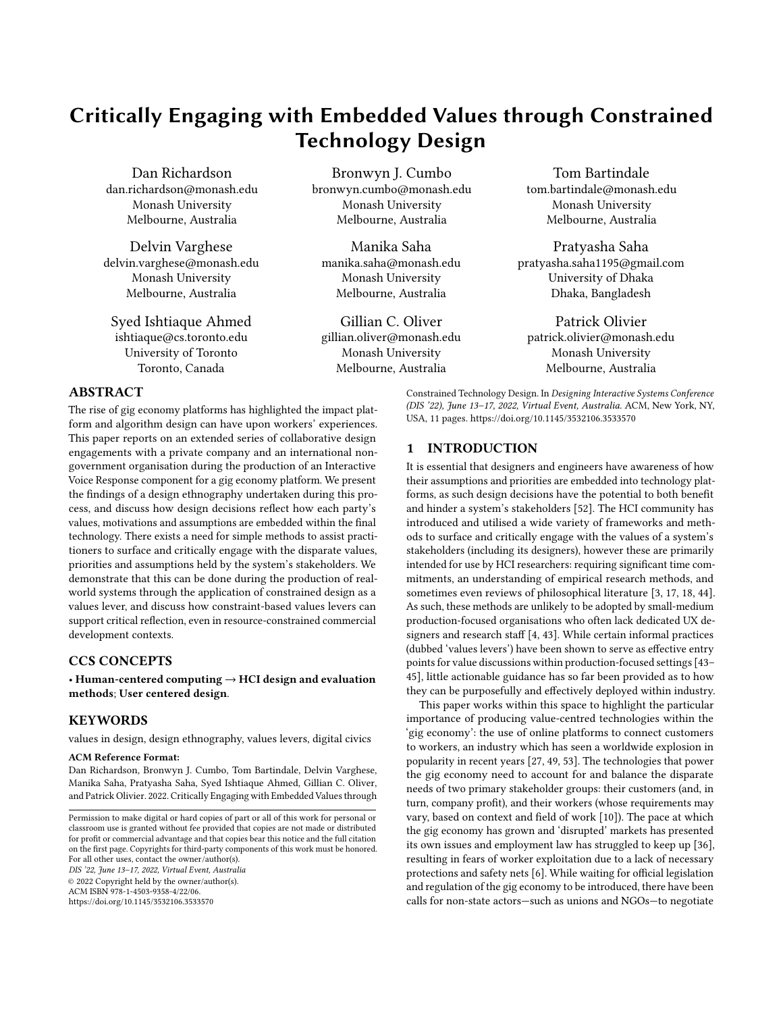freelancer markets in the world [\[39\]](#page-10-16). Ride sharing services are increasingly popular within Bangladesh [\[27\]](#page-10-7) and their unregulated growth has encouraged tens of thousands of rural and suburban youths to migrate to metropolitan areas, prompting calls for regulatory action [\[14\]](#page-9-8). Ahmed argues that those in Bangladesh without access to digital technologies cannot access these new employment opportunities [\[1\]](#page-9-9), further deepening an existing digital divide and highlighting concerns around workers being underpaid, overworked, and constantly monitored [\[24\]](#page-10-17). Minter argues that, while there is a need for governments to introduce enforceable labour standards, this will take time: suggesting that while government solutions are being negotiated, non-state actors should work with gig economy companies on formal agreements to support workers' fair treatment and identify current issues [\[36\]](#page-10-10).

#### 2.3 HCI & the Gig Economy

The HCI research community's involvement in the gig economy can be traced back to its undiluted form, 'crowdworking', where online workers are given microtasks and paid per acceptable completion. Such platforms have been previously used as cheap and easily accessible sources of research participants (e.g. [\[34,](#page-10-18) [35,](#page-10-19) [38\]](#page-10-20)). While early academic discourse frequently focused on improving such platforms' efficiencies, comparatively little investigation was taken into the workers themselves: their socio-economic status and the impact of the platforms' designs on them [\[24,](#page-10-17) [28\]](#page-10-21).

Recent years have seen more critical, values-based analyses: Martin et al. note the dehumanising rhetoric surrounding crowd workers (e.g. 'artificial artificial intelligence', and 'cogs in the machine'), and how such terminology makes them easier to regard as 'troublesome components' to be controlled, rather than real human stakeholders worthy of design considerations [\[33\]](#page-10-22). A common frustration relating to gig economy platforms is a lack of transparency: the deeper functioning of such systems (e.g. the specifics of work assignment algorithms) is often opaque to the worker, leading to worker frustration and a balance of power in favour of clients and platform holders [\[33\]](#page-10-22). Furthermore, gig economy platforms are generally not designed to support communications between workers, which has been identified as one factor limiting gig worker collective bargaining [\[20\]](#page-10-23). This weak bargaining power leads to the pace of work being determined by direct demands from clients, heightened by a lack of job security and a frequent oversupply of labour [\[53\]](#page-10-9). Lee et al. argue that increased transparency in the assignment process could elicit greater cooperation with work assignments, especially undesirable ones: because the current supply-demand control algorithms do not account for human factors (such as workers' capability and motivations), their use in motivating and controlling human behaviors created distrust of the system in workers [\[30\]](#page-10-24). Lee also noted that the practical opacity of a platform's algorithm can lead to workers resorting to speculation and sensemaking through external channels, such as with other workers on social media platforms [\[30\]](#page-10-24). Raval & Dourish note that gig platforms' monetisation models frequently erase the distinction of work and 'related work' (such as care labour), and that platforms place workers' own bodies and possessions as the sites of engagement between clients and corporations: placing additional focus

on workers' emotional performance, bodily presence and timeliness [\[40\]](#page-10-25). This combination of opaque, quantified evaluation and an apparent accountability for every interaction creates a hyperawareness of clients' ratings and the potential for psychological stress [\[30\]](#page-10-24).

Introducing technology interventions without care runs the risk of amplifying existing inequalities amongst workers, or even creating new power dynamics within a given platform's economy [\[33\]](#page-10-22). In response to these issues, Alvarez et al. call for a greater workercentred perspective in the design of gig economy platforms, focusing on transparency, professional development, networking and an avoidance of power asymmetry [\[10\]](#page-9-2). Designing the algorithms used by gig economy platforms to manage and assign workers in a human-centred approach will require practical methods of identifying the values and requirements of all stakeholders, including those of the designers and engineers [\[30\]](#page-10-24).

#### 3 CONTEXT

During this project we (members of an HCI research group based in Australia) entered into a three-way partnership with the Bangladeshi branch of an international NGO (anonymised as 'NGO') and GigCo (anonymised), a gig economy startup based in Dhaka, Bangladesh. Full ethical approval was received from our institutional review board before work commenced.

NGO was one of a number of organisations involved in a multimillion dollar international project ('OCP', anonymised) aiming to improve the safety and well-being of Bangladeshi female domestic workers. Domestic workers are typically hired to cook, clean, do laundry or even care for the children of a household. Estimates range between there being 2 million [\[13\]](#page-9-10) and 4 million [\[5\]](#page-9-11) domestic workers in Bangladesh, with around 80% being women or girls [\[5\]](#page-9-11). Despite their prevalence, domestic work in Bangladesh was only recognised as an informal profession in 2015, with the introduction of the Domestic Workers Protection and Welfare Policy (DWPWP) [\[26\]](#page-10-26). Prior to this, domestic workers were not entitled to time off, were not legally assured 'fair' wages (85% live under the poverty line [\[22\]](#page-10-27)), and there were few legal protections from abuse and harassment within their places of work [\[23\]](#page-10-28). However, adherence to these new policies has been inconsistent [\[25\]](#page-10-29), with a perceived lack of regulatory enforcement and reports of abuse still frequent [\[51\]](#page-10-30). Within this context, the OCP project aims to provide female domestic workers with skills training for formal job opportunities, to increase their awareness of their rights, and to support the Bangladesh government's capacity to enforce and monitor the implementation of the DWPWP.

In line with the policies promoting technologically-mediated social interventions in Bangladesh (e.g. [\[15,](#page-9-12) [21\]](#page-10-31)), NGO chose to partner with a gig economy company GigCo as a part of the OCP project. As discussed, gig economy platforms are increasingly common in Bangladesh [\[1\]](#page-9-9). Aiming to be 'the Uber of domestic workers', GigCo runs an app-based service through which customers can request a domestic worker through a smartphone app. Whereas other organisations within the OCP project recruited and provided training to domestic workers, GigCo provided work for them: configuring their business towards the promotion of the DWPWP by highlighting the workers' rights and implementing platform policies to improve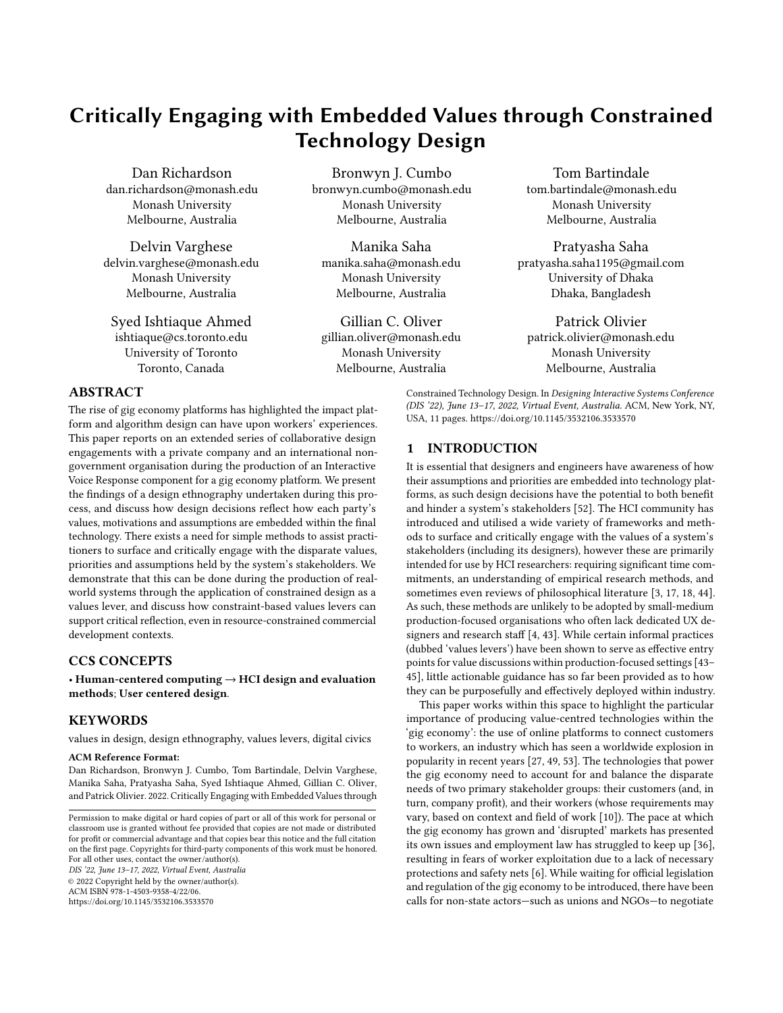the women's working conditions. On GigCo's app, the 'About Us' page notes that they 'dream to build an ecosystem where every family employs trained, skilled and verified domestic helpers' and that they aim to provide a 'secure workplace for millions of domestic helpers through our platform and establish "domestic work" as a dignified profession'. Taken at face value, GigCo's priorities are to create a platform which would enable them to: i) achieve their commercial goals, and ii) empower domestic workers.

Like many women in Bangladesh, GigCo's domestic workers are subject to a digital divide for which gender and socio-economic status are defining characteristics [\[19\]](#page-10-32). Most lack access to a smartphone, typically only having a 'feature phone' which can place calls and send/receive SMS (although low literacy levels render SMS of limited value). As a result, the majority of GigCo's workforce are unable to directly interact with the digital infrastructure to respond to client requests. Because of this, GigCo initially utilised 'local guides'—another tier of gig economy workers—whose function was to connect clients to workers by taking orders through the GigCo app and forwarding their details to domestic workers using phone calls. However, after several months GigCo reflected that local guides would often select workers based primarily on personal preferences, leaving the process open to favouritism.

In late 2020, GigCo and NGO decided to explore alternative, automated solutions to bridge the domestic workers with the digital infrastructure. They decided to create an Interactive Voice Response (IVR) system: an automated telephone-based system with which callers could interact using phone button presses. An automated IVR system was deemed to be more efficient and objective, as it provided a simple way to assign workers to clients through a consistent, automated decision-making process that would address previous concerns relating to the local guides. As a research team with experience of designing IVR systems and a pre-existing relationship with NGO, we offered consultation and advice during the design process of this new system, whilst simultaneously carrying out a design ethnography of the process to reflect on how the values of the three parties (NGO, GigCo and the research team) were reflected in the design of the IVR system.

#### 4 METHODOLOGY

The primary aim of this study was to understand how the values and motivations of the three partner groups directly influencing the design—NGO, GigCo, and the research team—were reflected in the design of the IVR system, and shaped by the constraints and possibilities that it offered. To address this aim, the authors undertook a design ethnography: a research approach that provides a critical and reflexive lens to a design process, providing insight into how the entanglement of actors, artefacts and processes within a context shapes design decisions and outcomes [\[2,](#page-9-13) [46\]](#page-10-33). Baskerville and Myers argue that design ethnography builds upon both 'ethnography for design' and 'ethnography to study design': that design ethnographers produce data to inform designs and gain insights into designers and their practices, taking a more active approach which can be both generative as well as descriptive [\[7\]](#page-9-14). This approach allowed us to provide consultation and feedback on the design to the other partners, providing them value to their involvement in the research. That said, our goal of gaining an understanding of GigCo

and NGO's values and motivations limited the extent to which we could influence the process. For example, when it became clear that GigCo and NGO would not involve domestic workers in the development of the system, we didn't suggest otherwise: doing so would have significantly affected the rest of the design process beyond being a representation of the two stakeholder groups' values.

Design workshops with GigCo and NGO were carried out over 11 months (November 2020 - September 2021). These engagements were held online, as GigCo and NGO were situated in Dhaka, Bangladesh, whilst the researchers were situated in Melbourne, Australia. Travel between these two locations was not possible due to travel restrictions imposed by the Australian government in response to the COVID-19 global pandemic. Research activities involved 12 onehour online video conferencing design workshops, with at least one researcher and one representative of GigCo. An NGO representative was present at 8 of these online workshops.

The workshops were carried out over three design phases:

- (1) Exploratory discussions, which aimed to understand the various partners and their priorities in this process. In these workshops, each stakeholder shared their specific interest in the process, their motivations for participating, and their intended outcomes. During this stage GigCo shared further details about their services, business model, structure and challenges and their underlying motivations for the design and use of this IVR system; whilst NGO provided details of the plight of domestic workers they have been supporting through their advocacy work, and their ideas of how the platform could improve the workers' livelihoods (e.g. through financial security and personal safety).
- (2) Iterative design, which aimed to develop an initial iteration of the IVR flow that reflected the needs and priorities of GigCo and NGO. GigCo led this phase, producing several iterations of the IVR system design in Microsoft PowerPoint detailing the 'IVR flow': the menus, information and options available to the domestic workers as they interact with the system over the phone (Figure [1\)](#page-4-0). During each workshop GigCo shared their screen to walk through the updated designs for discussion and feedback. These visual illustrations prompted more nuanced discussions of the values and motivations underpinning the IVR flow: raising questions around what information should be included (and excluded) by the system, and how included information should then be prioritised. The limited decision-making capacity of the IVR required that any divergent views on content and prioritisation be negotiated, meaning that each party's divergent values and perspectives were surfaced and negotiated during these discussions.
- (3) An operational prototype, which aimed to actualise and test the IVR process. In-lieu of a fully automated IVR system, GigCo used human call operators who followed the algorithmic recommendations and the designed IVR script to contact and interact with the domestic workers. Dubbed the 'Human IVR', this stage reproduced a 'Wizard of Oz'-style prototype, supplanting all local guides who had previously been employed by the company. Workshop discussions during this stage focused on this prototype's implementation, how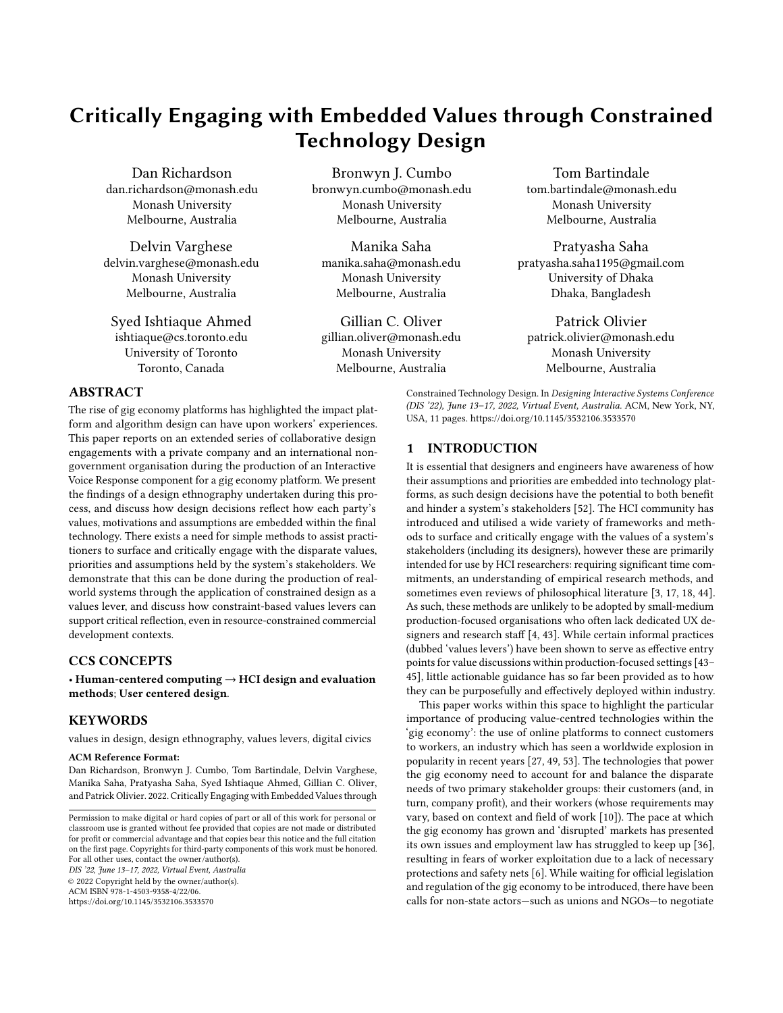<span id="page-4-0"></span>

Figure 1: The final design of one of the IVR menus, created by GigCo in Microsoft Powerpoint.

it was performing, and what feedback GigCo had received about it from the domestic workers.

A design ethnographer on the research team introduced an additional reflexive lens to these workshops to explore how the priorities and values of each stakeholder were reflected in discussions, and how priorities were negotiated and reflected in design decisions. This research was carried out through observations of the workshops (or workshop recordings), and semi-structured interview discussions both during or after the workshops.

#### 4.1 Data collection and analysis

In order to portray how the values and motivations of the design partners impacted the IVR's design, this paper uses the produced artefact as a lens through which we go on to discuss how the values and priorities of each design partner were negotiated and represented, and how such findings had practical consequences in the final design. As such, our analysis particularly focused on the decisions and negotiations surrounding the system's key features. Data used in the analysis included: (i) recordings of workshop discussions and interviews that were transcribed; (ii) notes taken by researchers during workshops; and (iii) visual diagrams of the iterations of the IVR flow (e.g. Figure [1\)](#page-4-0).

Data analysis involved three iterative stages: (i) the final IVR flow design was analysed to identify the specific points in a job cycle that domestic workers interacted directly with the IVR system; (ii) workshop transcriptions and meeting notes were then read multiple times to identify dialogue that directly or indirectly informed how and why workers would interact with the IVR system at each point; and (iii) dialogue between each stakeholder was screened for values and motivators that were surfaced and subsequently negotiated through this iterative process.

## 4.2 Researcher Positionality and Influence

The study's two lead researchers are not Bangladeshi or women of colour. In an attempt to mitigate the impact of cultural biases and contextual misunderstandings, this paper's three Bangladeshi authors often participated in discussions with the design partners and were frequently consulted by the other members of the research

team. To avoid an overbearing influence upon the design and resulting ethnographic data, the researchers' design suggestions were usually presented to the design partners as valid alternatives, rather than being definitively better options. The exceptions to this were when the existing design had the potential to cause harm or endanger the domestic workers (such as the system giving the workers' phone numbers to clients, see Section [5.2\)](#page-4-1). All changes to the design in each iteration were made by GigCo after having received feedback from NGO and the research team.

# 5 FINDINGS

The following findings are presented in relation to the final GigCo system design, looking specifically at ways domestic workers are likely to directly engage with the IVR component of the system during a single 'job cycle', from giving notice of availability to the final sign-off after a job is complete (illustrated in Figure [2\)](#page-5-0). We outline the purpose and quality of the interactions between the domestic workers and the IVR system as they are designed, drawing on recordings and notes from discussions held between between the research team, GigCo, and NGO.

# 5.1 Daily Check of Availability

Each domestic worker registered to GigCo receives an automated call from the IVR each morning to determine whether they are available to work that day, and if so are they are available to work in the morning or afternoon. This process was devised by GigCo and NGO to give all domestic workers registered to the platform an equal opportunity to work within their local area during a time that suited them. Workers' responses to the IVR are logged onto the GigCo system, informing an automated worker selection algorithm of which workers are available throughout the day.

# <span id="page-4-1"></span>5.2 Being Offered a Job

During their nominated working time, workers will then receive another automated phone call through the IVR system, saying:

> You have a work request of [X] hours from [area name] and it will pay you [Y] taka. The user's name is [name]. You [have/haven't] worked there previously. Press 1 to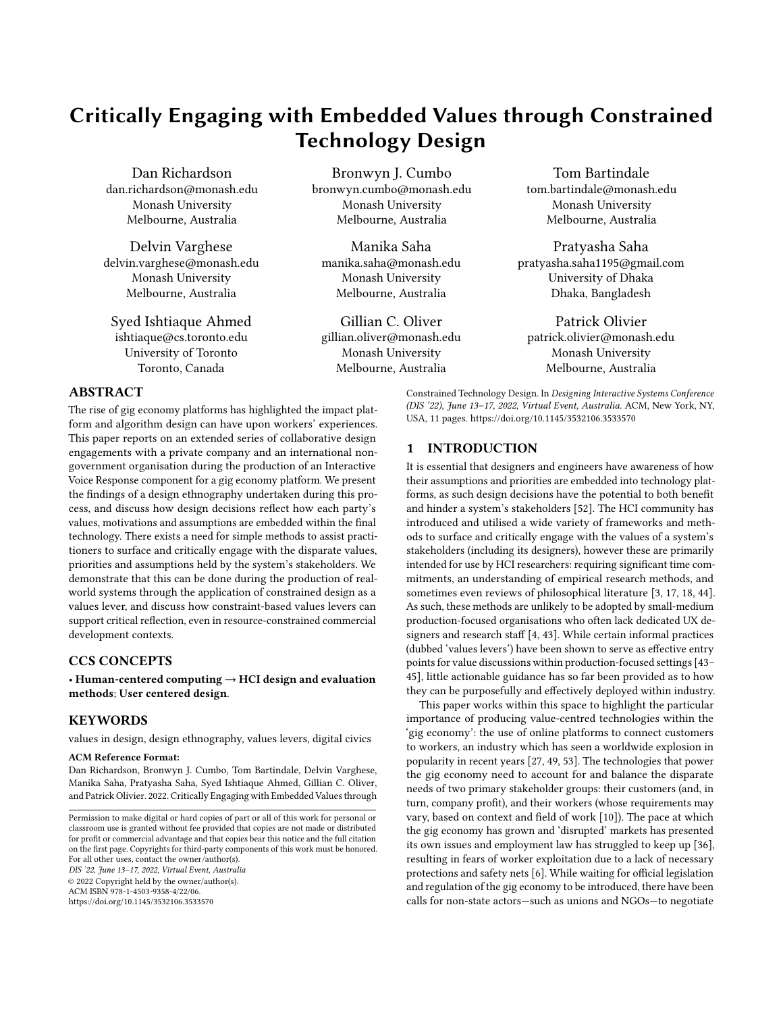<span id="page-5-0"></span>

Figure 2: The GigCo IVR system, as encountered by a domestic worker. (1) The system calls the worker in the morning to ascertain if they want to work, and if so when. (2) The client requests a worker through the smartphone app. GigCo's algorithm chooses a suitable worker and rings them to see if they will take the order. If so, the worker is asked to wait while GigCo check if the order is genuine. The worker receives a second confirmation call from the system, and, if the job is genuine, is then asked to give an ETA and leave towards the client's house. (3) During the journey, the worker is called up three times to get an updated ETA. (4) At the client's house, the worker calls the system to log when the work is started and finished. (5) After finishing, the worker waits at the client's house until an automated SMS arrives confirming that the client has paid. At any time, the worker can call the system to get information about a current job or their wages, get help from the GigCo office or emergency services, or to contact the client.

#### accept the order. Press 2 to reject the order. Press 3 to hear the order again.

If they accept, they are played an audio recording detailing the exact location of the client's home, and asked to either reject the job or re-confirm it by giving an estimated time of arrival (ETA), with the options of 30 minutes, 60 minutes, or longer than 60 minutes. There is no option to delay or negotiate an alternative time. If the worker rejects the order or if they hang up, the system will call the next worker prioritised by the algorithm.

5.2.1 Prioritising Workers for a Job. The group's discussions around this IVR menu prompted queries about how the platform's algorithm should select workers. GigCo and NGO negotiated three factors that were aligned with their priorities:

- Proximity of the Worker's Home to the Client: the algorithm prioritises workers within a 1km radius of the client's home, and then gradually extends out to 2km depending on availability. This reduces the travel time and cost to the worker, whilst also increasing worker reliability as they are more likely to arrive at their estimated time.
- Work History: workers who have previously worked for a client will get priority with them, unless they received a poor rating from the client. This was to promote stability for both workers and clients.
- Ratings of the Worker: workers are given two quantified scores, reflecting i) the frequency in which they accept or reject offers of work and ii) their average rating given by past clients (out of 6).

However, these three factors present in the final design are not inclusive of all concerns brought up during these discussions. For example, NGO's representative suggested that the algorithm should take workers' ratings of clients into account—a feature absent from the 'Human IVR' implementation:

"One rating will be from the employer's side: if she gets five [stars] she'll be called again. We are also taking ratings from the employee level—how she feels working there. Are you going to consider this? Because it might be that she might not be comfortable with working there: it might be that I'm a bad person, and give her five stars to get her again, but she's not comfortable with me."

Further discussions centred around the fact that the worker was given little access to information regarding both the client and the job when choosing whether or not to accept. For example, the IVR menu design did not give the worker information regarding the nature of the work (i.e. what they would be doing), the client's rating by other workers, or who will be present in the household during the work. In contrast, clients were given access to the worker's past ratings, a profile photo, the amount of training they had received, and their phone number. Some of these omissions could be explained by the limitations of IVR, the need for timeliness, and that logistical information about the job took priority. However, GigCo were also concerned that the inclusion of additional information such as client ratings could 'confuse' the workers—when we suggested that workers be provided with clients' ratings prior to accepting a job, GigCo responded by saying:

"The domestic worker might not understand the rating system to be able to assess the client. So I think we need to do the screening from the back end."

When we raised the potential safety and privacy issues regarding giving clients access to female workers' phone numbers [\[42\]](#page-10-34), GigCo claimed that it hadn't been an issue. However, as removing access to phone numbers could potentially lower the worker 'bounce rate' (when clients use the workers' details to hire them directly, outside of the GigCo platform) they became interested in routing the calls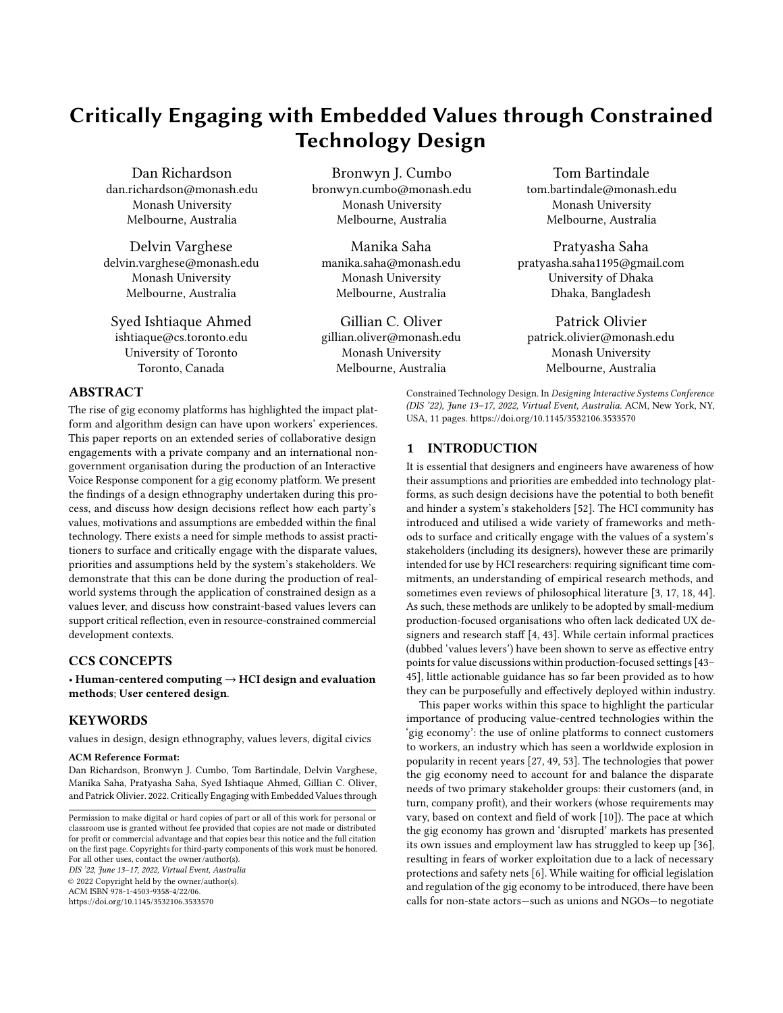through the IVR as an intermediary. At the time of writing, the GigCo app still gives clients access to the workers' phone numbers.

## 5.3 Confirming the Job

After the worker accepts the job request, they are asked to wait while a GigCo customer support agent manually calls the client directly to confirm that the job is legitimate: GigCo explained that clients often place test orders to see how the system works, and so they call to confirm every order. When we queried why the domestic workers were called prior to confirming with the client that the job is legitimate, GigCo expressed that this process meant they could avoid cancelling on a client in an instance where they couldn't find a suitable worker:

"We do not want to call the user without first confirming that we have a domestic worker in place to serve him. It will make him dissatisfied."

If the client confirms the job, the worker then receives a second automated call saying that the job is legitimate, and reminding the worker of a number of safety procedures:

Your order has been confirmed. Please set out for [name]'s house at [area]. Please only enter the user's house if you see a woman in the house, wear a mask, and immediately report any safeguard issue by calling us. Call us back at [phone] whenever you need any support. To hear the user's detailed address, press 1. To talk to the user, press 2. To talk to the office, press 0. Otherwise, please hang up now and set off for the user's house.

The NGO representative noted that the safety checks included here were part of a broader strategy devised by NGO to explicate the importance of safety, and aimed to exclude particularly 'risky' client groups from the service:

"We do not provide the service to any single male households—bachelors. We normally provide the service to the family. [It is] compulsory that there is one female member present during the work day."

## 5.4 Travelling to the Job

Once a job is confirmed, the IVR system calls the worker as they travel to the client's home up to three times to 'track' their progress and get an updated ETA. The first call is made 15 minutes after the confirmation call, and asks if the worker has left their home yet; the second call is made after two thirds of the given ETA has expired, and asks for an updated ETA; and the final call is made 10 minutes after the ETA if the worker has not yet logged the start of work. These calls offer workers the option to connect to the client for a single call per job, to support workers asking for more specific directions without irritating the client.

When we queried about why workers were being called on three occasions over a short period of time and suggested that it might be intrusive, GigCo expressed that they had doubts about worker reliability and professionalism, expecting this number of calls to be necessary:

"We have to maintain a certain time—on the user's side we have already committed them at the start of the order that it will take 30 minutes, based on the estimation of the domestic worker [...] so we keep pushing them. [...] When we test the system we might find that we need more tracking calls, maybe we don't need this many, even."

GigCo received negative feedback from their workers about the tracking calls during the 'Human IVR' prototype. Despite finding that they were unnecessary during the prototype, they expected the calls would still be needed in the final automated version:

"Maybe they're on their way, on the bus—they really don't want to receive a lot of calls. [...] We don't need to call that much: without calling the domestic workers, after half of the time almost all of them went to the customer's house. [...] But I'm worried that in the case of the IVR, it will be lower: it may be that we need at least one tracking call at the start [of the journey]."

# 5.5 Safety Measures & Starting the Job

Once the worker arrives at the client's home, they call into the IVR system to log the start of work. Prior to doing so, they are required to check that the client has met the safety conditions of the platform: ensuring there is at least one woman in the home, and that the worker feels comfortable and safe. If these safety requirements aren't met, GigCo explained that the workers are advised to leave the house immediately and call the IVR to log a safety breach:

> "Our domestic workers are instructed to check if there is a female member or not. What happens if they see the house doesn't have a female member? They come back. We have a status called 'maid return'. It happens, maybe every day two or three times."

Should these safety measures not be sufficient, workers can call into the IVR system and are given options to connect with emergency services and an independent women's helpline. After feedback from the research team, GigCo moved these options to be read at the beginning of the IVR menu, ahead of more frequently used options relating to starting and finishing a job or checking on earnings.

GigCo and NGO emphasised that prior to the IVR system, logging the start and end of a job used to be in the control of the client through the smartphone app, but that they would sometimes deliberately log inaccurate times to reduce the cost of work:

> "Sometimes the customers are very tricky—he will not say anything [about the time being over] because she is busy doing something."

## 5.6 Completing the Job & Payment

Once the worker completes a job, they are required to call into the IVR system and log the end of work from the client's home. The client then makes an online payment via the GigCo app. Once the payment is complete, the worker is then sent an SMS stating:

The client has paid the bill. You can leave the house. Your payment will arrive in your account shortly.

However, when we queried if the often illiterate workers are able to understand the message, GigCo responded:

> "No, not really. Sometimes they can use it as an indication there is a sound."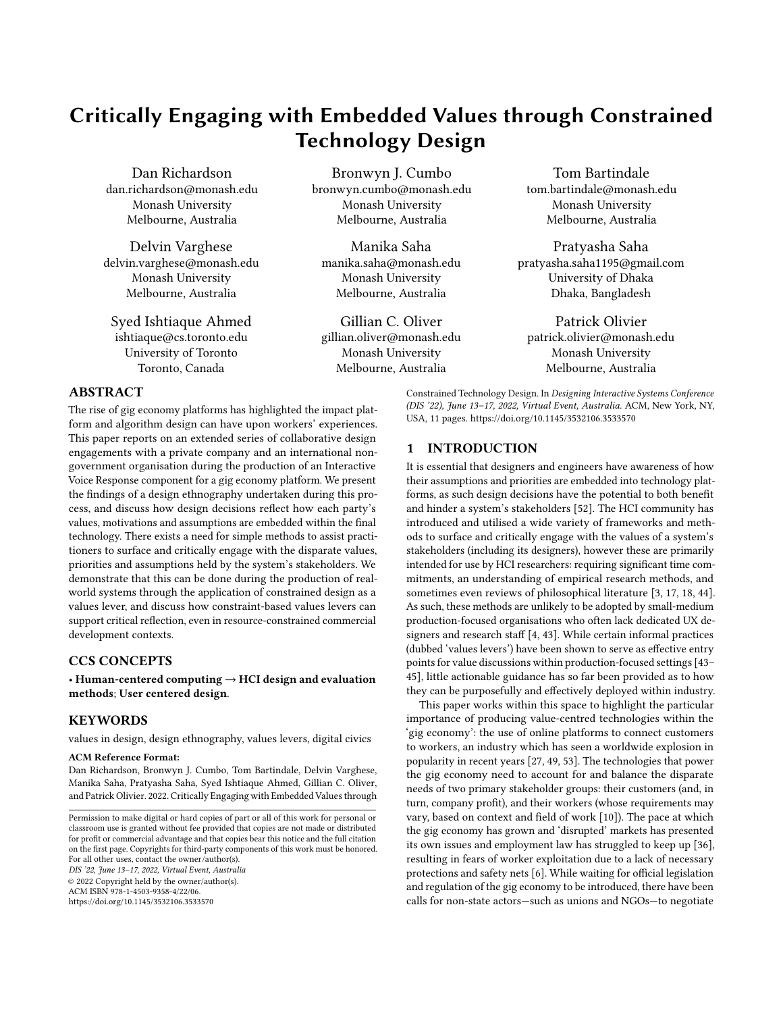In our discussions, GigCo emphasised that workers are permitted to leave the client's home only after they have received this confirmation message. GigCo explained that cash payments were no longer permitted, as online payments enabled them to regulate payments more transparently:

"If the workers are paid in cash like in their other jobs, they can sometimes not get paid or get paid less".

#### 5.7 Leaving Feedback about the Client

After leaving the client's home, the workers have the option to leave feedback about their experience with that client by calling the IVR system, which gives the option to rate their client out of six stars or give additional feedback by leaving a recorded message. These messages are later listened to by a GigCo staff member and logged onto the system. If a worker reports a negative experience with a client, GigCo addresses this by calling a worker directly and clarifying the issue, and—if deemed necessary—will call the client to inform them of a breach of conduct and potentially block them from using the service for a period of time.

# 6 DISCUSSION

This IVR system enables domestic workers to participate in the gig economy: without requiring smartphones, internet access or any significant level of literacy. However, despite the project's primary goal being the empowerment of the domestic workers, there are a number of design decisions evident which would be detrimental to the workers' experiences when using the system. The design highlights that the IVR medium's inherent constraints required decisions to be made, resulting in some motives and values being prioritised over others throughout the workers' job cycle. We argue that when examined, these decision points act as values levers: revealing how the diverse and sometimes conflicting values of GigCo and NGO were prioritised and ultimately included (or excluded) from the final system design, often at the expense of the workers. In this discussion we reflect on how these values were surfaced and negotiated through the design, and discuss the broader implications of how constrained design can be used in commercial contexts as values levers.

# 6.1 Highlighting Embedded Values through Design Decisions as Values Levers

Contrary to GigCo and NGO's belief that the IVR system would offer more objectivity than the 'local guides', such infrastructures feature embedded biases informed by the values and priorities of those involved in the design process [\[52\]](#page-10-1). In turn, analysing and querying the design of technological systems can give insights into the designer's priorities, attitudes and assumptions [\[47\]](#page-10-12). As such, querying the choices required during the design of the IVR component re-framed them as values levers: acting as entry points for reflection and values discussions [\[43\]](#page-10-5). In this way, we have been able to gain insights into how the stakeholders' values were embedded within the final system design, through the inclusion, prioritisation, and omission of pieces of information and functionality accessible to workers:

- GigCo's low expectations of the workers There are multiple elements within the system's design which suggest that GigCo had low expectations of the workers. For example, the 'tracking calls' were perceived by GigCo to be a necessary inclusion to prompt workers to arrive at clients' houses on time: even after a high success rate during the 'Human IVR' deployment (where the calls had been removed due to complaints from the workers), GigCo was concerned that workers would not leave on time if the calls were not coming from a human operator. As in crowdsourcing platforms, this intrusive use of technology for monitoring frames workers as 'troublesome components' to be controlled, rather than human stakeholders to be designed for [\[24,](#page-10-17) [33\]](#page-10-22). GigCo also believed that the women would be confused if given the ratings of clients when offered work, and that such decisions should be made algorithmically 'from the back-end'. Furthermore, while clients had access to workers' phone numbers, workers were only able to directly connect to clients once by routing through the IVR system. These low expectations and the unequal provision of information and control contribute towards a final design where the worker has little power: as seen in analyses of other gig-economy systems [\[10,](#page-9-2) [20,](#page-10-23) [30,](#page-10-24) [33\]](#page-10-22), a lack of information flow and opaque, algorithmic control often results in a system where the worker has less power than other parties.
- Prioritising clients over workers As noted, GigCo are principally a for-profit company, and the system's design reflects their prioritisation of clients' interests over those of the workers. This is evident through design decisions both benign (e.g. the worker is called to accept a job before the client is called to confirm it is legitimate; that workers receive automated calls, while customers are called by human operators) and those that have serious potential consequences (e.g. that workers' ratings of clients were not provided during IVR calls offering jobs, nor being considered by the algorithm during 'Human IVR' deployment; that GigCo had few concerns related to safety when sharing workers' phone numbers with clients). As Lee argues, supply-demand orientated algorithmic controls frequently do not account for human factors [\[30\]](#page-10-24): such issues are further evident in this system, where workers are pushed through repeated phone calls during travel, prioritising keeping clients' waiting time to a minimum. Similarly, the requirement that workers stay in the client's house until GigCo has received payment again suggests that little thought had been given to the workers' experiences of the system, and serves as an example of the workers themselves being the site of engagement between the client and a corporate entity: placing additional focus and pressure upon the worker's physical presence and emotional performance  $[40]$ . Finally, that  $GigCo's$  platform is built around technology that the client has access to but the worker does not—with the IVR component's existence being an attempt to navigate this core inequality—highlights that the system's human-centred design focus is on the clients, not the workers.
- Loss of focus on workers While NGO made fewer contributions to the design, they were consistent in evidencing their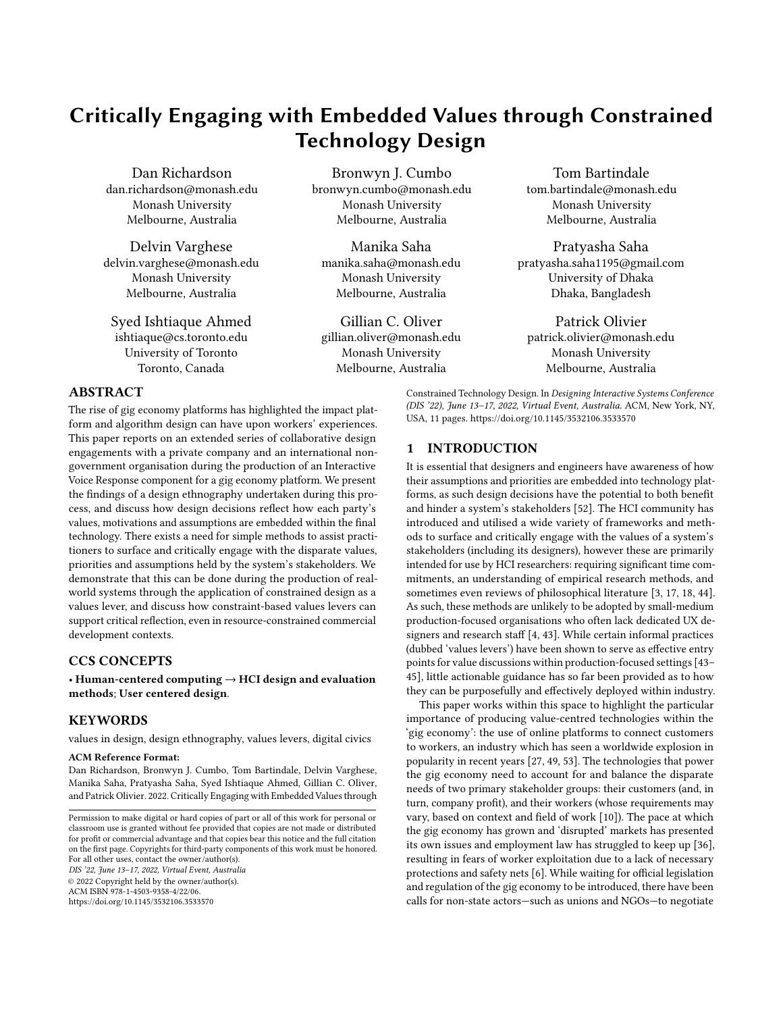stated goal of improving the well-being of women domestic workers: suggestions such as the algorithm accounting for workers' ratings of clients and the inclusion of safety reminders had a clear focus on improving the workers' safety and agency. However, within the final design the focus on women's empowerment was lost, and the women were no longer the priority. As the party with the platform and task of creating the implementation, GigCo had the most control over the system's final design. Despite producing some concrete improvements towards the upholding of the standards set out in the DWPWP, as a for-profit company GigCo's priority was understandably to make money, and so the focus of the project naturally shifted from the women being the cause to being the product: no longer the priority, but a commodity in a capitalist process.

We present these insights as evidence of how values levers can be applied by designers as a simple tool to reveal and reflect upon what values are embedded and prioritised within their designs and processes. As Martin et al. argue, technology interventions introduced without care into gig-economy ecosystems have the potential to reify existing inequalities or create new ones [\[33\]](#page-10-22). Before attempting to introduce what we think are worker-centred interventions [\[10\]](#page-9-2), we as designers and engineers need to reflect on our own interests, and how they compare and contrast with those who will be affected by the systems we create. While actually engaging with the workers in consultation or even a full co-design process would naturally be a more effective way to ensure a more suitable human-centred final design [\[31\]](#page-10-35), these practices are frequently overlooked within commercial settings [\[4,](#page-9-1) [43\]](#page-10-5). We argue that in such cases, some level of critical values reflection is better than none, and that values levers are a useful and simple tool for engaging in this space without requiring additional investment or expertise.

# 6.2 Using Constraints to Introduce Values Levers in Design Practice

Many of the values levers discussed above were resultant from decisions that GigCo and NGO were forced to make due to the limitations of working within the IVR medium. Within an IVR system, menus and messages are usually prescribed, linear, largely static and should be limited in length to support cognition [\[48\]](#page-10-36). Such limitations require judgements to be made not only on the inclusion of information, but in what order it is presented. Furthermore, most traditional IVR systems act as blunt instruments: the enduser is given little ability to work outside of the confines of the design space set out by its system designer. Due to these limitations, the choices of what information and functionality is excluded and how included elements are ordered are strong indications of the designers' priorities and assumptions about the end user.

Within this study, the constraints of IVR required GigCo and NGO to negotiate the prioritisation particular information (e.g. logistical information for getting to a job), and the exclusion of that deemed too complicated or not worth the additional menu space (e.g. details of what the job would actually entail, or how the client has been rated by other workers). These choices often involved balancing the empowerment of domestic workers against the designers' other interests. We argue that by forcing these decisions to take place, the process of encountering the constraints and limitations of the technology became a values lever.

As a technology medium, IVR is particularly well-suited to this due to its inherent limitations that require designers to go through a process of explicit prioritisation. However, we also posit that such constraints are often naturally encountered during the practice of technology development. Choices in other mediums might include: which items should be surfaced in the top level of a GUI; the minimum requirements for a user's hardware or version of operating system; the granularity of users' control over collection of their data; or reliance on the user having reliable internet access. In this regard, any design materials which feature constraints can serve as an effective way of surfacing stakeholders' values by forcing them to make decisions.

These decisions could also act as a useful way of communicating and highlighting the practical effects of designing towards a given agenda, supporting the inclusion of less technical stakeholders in the decision-making process. Some functionality, such as the design of system infrastructure or algorithms, can be so complex to lead to practical opacity, often impeding productive critical analysis and inviting users to speculate and sense-make through channels external to the platform [\[30\]](#page-10-24). In cases where complexity impedes open discussion, major design decisions could be clarified and represented through abstraction: previous work has shown the benefits of using mediums such as Lego as design tools for collaboration and the communication of complex ideas [\[9\]](#page-9-15). Such use of artefacts as design tools (e.g. [\[3,](#page-9-0) [50\]](#page-10-14)) is widely valued by UX designers and researchers as a method of prompting critical and creative discussions between stakeholders. However, this study is an example of how traditional reflective processes are often neglected within pragmatic, production-focused development environments [\[43\]](#page-10-5), where design is often based on tacit knowledge and 'watching trends and chasing after innovations' without first laying a humancentred groundwork for design [\[37\]](#page-10-37). Such was explicit for GigCo, who aspired to be 'the Uber for domestic workers' and frequently changed operational model. In small- to medium-sized development environments, it can be harder to justify allocating resources to practices beyond those perceived to be core to the development of technology. Constraints-based values levers are likely to be more appealing mechanisms for including and prompting reflection on stakeholder values, as they can be more tightly integrated into the practical stages of development.

We also propose that engaging with decision-based values levers can be of value even beyond the production more appropriate designs: keeping records of design decisions—and the explicit valuesbased reasoning behind them—would be useful for the purposes of accountability and evidencing deliverables. For example, in this project NGO and GigCo could have been able to show a paper-trail of design decisions, highlighting to the funding bodies of the OCP project how the system promoted the values and enforcement of the DWPWP. Such practical benefits offer further grounds for the integration of reflection through values levers into software design and development, in ways that 'pragmatic' practitioners may find more palatable.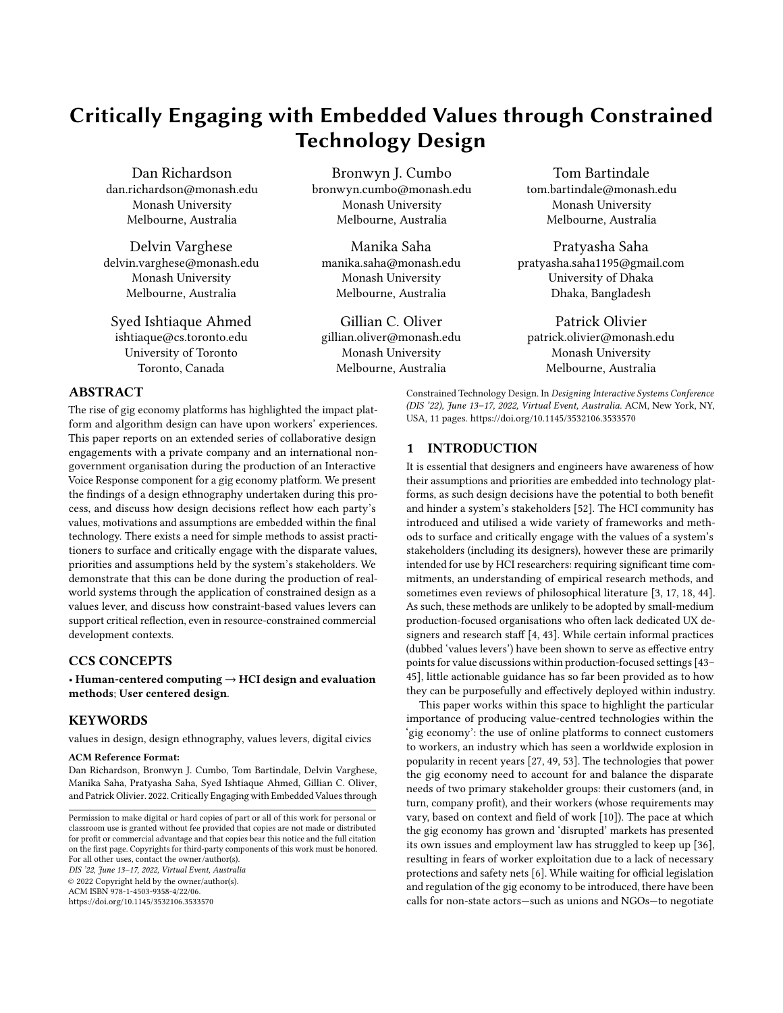However, this study also showed that the introduction of values levers is not a guarantee of worker-centred design: despite extensive dialogue between the parties, our findings showed the final design to still more closely reflect the values of GigCo over NGO or the research team. Examples of issues discussed within design sessions but (as-yet) unimplemented include our concerns relating to the application giving clients the workers' phone numbers, and NGO's suggestion that a client's rating by workers should be accounted for by the worker selection algorithm. While these topics were raised through the IVR design process as points for critical discussion, we argue that the fact that these issues and suggested improvements were not acted upon is a separate issue: likely resulting from GigCo having significantly greater control over the design and implementation than NGO or ourselves. In this case, the constraints acted as tools to reveal what the different stakeholder values were and how they were being prioritised and represented within the design: an opportunity to surface the implicit positions of the designers, even if not all that was surfaced was acted upon.

#### 7 LIMITATIONS AND FUTURE WORK

The intended users of the system, the domestic workers, were not included in the design process. However, as noted, the practices of co-design and stakeholder consultation are often foregone in commercial development settings [\[4,](#page-9-1) [43\]](#page-10-5). We advocate for the inclusion of all stakeholders within participatory design practices—especially those who are most marginalised—but understand that this is rarely the case in practice.

This research project did not set out to evaluate constrained design through the lens of values levers: the constraints and the resulting discussions were identified as values levers after the study's conclusion. As such, the values levers we have identified in this paper were not explicitly engaged with as a tool for reflection by the stakeholders themselves within a formalised process. We aim to continue this research by exploring how constrained design can be utilised to incorporate values-based reflection into ongoing development processes, and how such processes can be designed to support accountability and transparency in contexts where stakeholders hold unequal levels of control and power.

#### 8 CONCLUSION

This paper has reported on the findings of a design ethnography, undertaken with an international NGO and a for-profit gig-economy company in Bangladesh during the design of an IVR component for use with a disadvantaged workforce of domestic workers. We argue that the limited nature of the IVR format acted as a 'values lever': that it introduced a number of constraints which required the stakeholders to make design decisions which prioritised particular qualities within the system, and that discussing these decisions surfaced their values in relation to the project and their assumptions about the workers. We posit that such constraint-based design decisions are present in other technology mediums, and that as values levers they offer opportunities for engagement in critical, values-focused reflection: even in resource constrained development contexts. We argue that such reflection is particularly valuable in projects where parties may have different—even conflicting—agendas (such as between for-profit gig economy companies and their employees),

and that constraints should be considered as values levers during the production of any platforms looking to develop a worker- or user-centred perspective.

# ACKNOWLEDGMENTS

This research was a part of the Participatory Research and Ownership with Technology, Information and Change (PROTIC) II project, funded by the Empowerment Charitable Trust. We thank our participants for making this project possible.

## **REFERENCES**

- <span id="page-9-9"></span>[1] Syed Faiz Ahmed, Pratyasha Saha, and S. M. Taiabul Haque. 2020. Technology Adoption Dynamics of the Press Workers in Bangladesh. In Proceedings of the 3rd ACM SIGCAS Conference on Computing and Sustainable Societies (Ecuador) (COMPASS '20). Association for Computing Machinery, New York, NY, USA, 148–159.<https://doi.org/10.1145/3378393.3402270>
- <span id="page-9-13"></span>[2] Yoko Akama, Sarah Pink, and Annie Fergusson. 2015. Design + Ethnography + Futures: Surrendering in Uncertainty. In Proceedings of the 33rd Annual ACM Conference Extended Abstracts on Human Factors in Computing Systems (Seoul, Republic of Korea) (CHI EA '15). Association for Computing Machinery, New York, NY, USA, 531–542.<https://doi.org/10.1145/2702613.2732499>
- <span id="page-9-0"></span>[3] Taghreed Alshehri, Reuben Kirkham, and Patrick Olivier. 2020. Scenario Co-Creation Cards: A Culturally Sensitive Tool for Eliciting Values. Association for Computing Machinery, New York, NY, USA, 1–14. [https://doi.org/10.1145/](https://doi.org/10.1145/3313831.3376608) [3313831.3376608](https://doi.org/10.1145/3313831.3376608)
- <span id="page-9-1"></span>[4] Carmelo Ardito, Paolo Buono, Danilo Caivano, Maria Francesca Costabile, and Rosa Lanzilotti. 2014. Investigating and promoting UX practice in industry: An experimental study. International Journal of Human-Computer Studies 72, 6 (2014), 542–551.<https://doi.org/10.1016/j.ijhcs.2013.10.004> Interplay between User Experience Evaluation and System Development.
- <span id="page-9-11"></span>[5] Asm Ashraf, Sayed Azad, M MoninoorRoshid, and Fhamida Yasmin. 2019. ILO report on decent work deficits in domestic work in Bangladesh. [https://www.ilo.](https://www.ilo.org/dhaka/Whatwedo/Publications/WCMS_674540/lang--en/index.htm) [org/dhaka/Whatwedo/Publications/WCMS\\_674540/lang--en/index.htm.](https://www.ilo.org/dhaka/Whatwedo/Publications/WCMS_674540/lang--en/index.htm) International Labour Organization (02 2019), 188.
- <span id="page-9-3"></span>[6] Brhmie Balaram, Josie Warden, and Fabian Wallace-Stephens. 2017. Good Gigs: A fairer future for the UK's gig economy - RSA. Report. (Accessed on 08/20/2021).
- <span id="page-9-14"></span>[7] Richard L. Baskerville and Michael D. Myers. 2015. Design ethnography in information systems. Information Systems Journal 25, 1 (2015), 23–46. [https://doi.org/](https://doi.org/10.1111/isj.12055) [10.1111/isj.12055](https://doi.org/10.1111/isj.12055) arXiv[:https://onlinelibrary.wiley.com/doi/pdf/10.1111/isj.12055](https://arxiv.org/abs/https://onlinelibrary.wiley.com/doi/pdf/10.1111/isj.12055)
- <span id="page-9-7"></span>[8] Alan Borning and Michael Muller. 2012. Next Steps for Value Sensitive Design. Association for Computing Machinery, New York, NY, USA, 1125–1134. [https:](https://doi.org/10.1145/2207676.2208560) [//doi.org/10.1145/2207676.2208560](https://doi.org/10.1145/2207676.2208560)
- <span id="page-9-15"></span>[9] Lorenzo Cantoni, Elena Marchiori, Marco Faré, Luca Botturi, and Davide Bolchini. 2009. A Systematic Methodology to Use LEGO Bricks in Web Communication Design. In Proceedings of the 27th ACM International Conference on Design of Communication (Bloomington, Indiana, USA) (SIGDOC '09). Association for Computing Machinery, New York, NY, USA, 187–192. [https:](https://doi.org/10.1145/1621995.1622032) [//doi.org/10.1145/1621995.1622032](https://doi.org/10.1145/1621995.1622032)
- <span id="page-9-2"></span>[10] Juan Carlos Alvarez de la Vega, Marta E. Cecchinato, and John Rooksby. 2021. "Why Lose Control?" A Study of Freelancers' Experiences with Gig Economy Platforms. Association for Computing Machinery, New York, NY, USA. [https:](https://doi.org/10.1145/3411764.3445305) [//doi.org/10.1145/3411764.3445305](https://doi.org/10.1145/3411764.3445305)
- <span id="page-9-6"></span>[11] Shruthi Sai Chivukula, Chris Rhys Watkins, Rhea Manocha, Jingle Chen, and Colin M. Gray. 2020. Dimensions of UX Practice That Shape Ethical Awareness. Association for Computing Machinery, New York, NY, USA, 1–13. [https://doi.](https://doi.org/10.1145/3313831.3376459) [org/10.1145/3313831.3376459](https://doi.org/10.1145/3313831.3376459)
- <span id="page-9-4"></span>[12] Michael Ann DeVito, Ashley Marie Walker, and Julia R. Fernandez. 2021. Values (Mis)Alignment: Exploring Tensions Between Platform and LGBTQ+ Community Design Values. 5, CSCW1, Article 88 (April 2021), 27 pages. [https://doi.org/10.](https://doi.org/10.1145/3449162) [1145/3449162](https://doi.org/10.1145/3449162)
- <span id="page-9-10"></span>[13] Domestic Workers' Rights Network Bangladesh (DWRN). 2011. Activities and Achievement Report, Period: December 2006-June 2011. Report.<br>[14] Fairwork. 2021. Meet the team leading the implement
- <span id="page-9-8"></span>Meet the team leading the implementation of Fairwork in Bangladesh. [https://fair.work/en/fw/blog/meet-the-team-leading-the](https://fair.work/en/fw/blog/meet-the-team-leading-the-implementation-of-fairwork-in-bangladesh)[implementation-of-fairwork-in-bangladesh.](https://fair.work/en/fw/blog/meet-the-team-leading-the-implementation-of-fairwork-in-bangladesh) (Accessed on 08/20/2021).
- <span id="page-9-12"></span>[15] Md Gofran Faroqi. 2019. The Role of Telecentre in Developing Entrepreneurship: A Case Study on Union Digital Centres in Bangladesh. In Proceedings of the 12th International Conference on Theory and Practice of Electronic Governance (Melbourne, VIC, Australia) (ICEGOV2019). Association for Computing Machinery, New York, NY, USA, 446–456.<https://doi.org/10.1145/3326365.3326424>
- <span id="page-9-5"></span>[16] Erik Fisher. 2007. Ethnographic invention: Probing the capacity of laboratory decisions. NanoEthics 1, 2 (2007), 155–165.